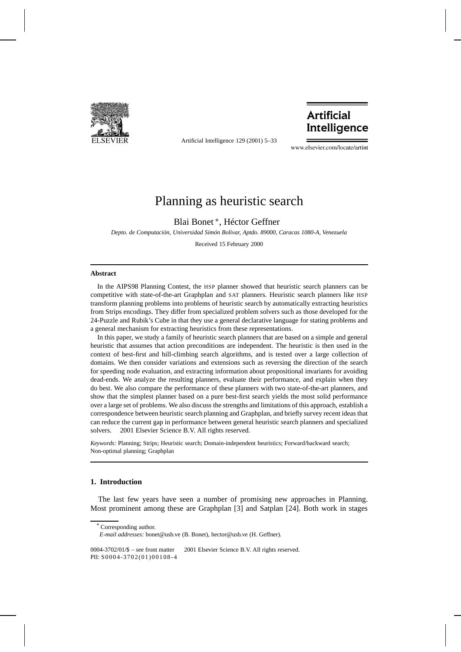

Artificial Intelligence 129 (2001) 5–33

# **Artificial** Intelligence

www.elsevier.com/locate/artint

# Planning as heuristic search

Blai Bonet <sup>∗</sup>, Héctor Geffner

*Depto. de Computación, Universidad Simón Bolívar, Aptdo. 89000, Caracas 1080-A, Venezuela*

Received 15 February 2000

#### **Abstract**

In the AIPS98 Planning Contest, the HSP planner showed that heuristic search planners can be competitive with state-of-the-art Graphplan and SAT planners. Heuristic search planners like HSP transform planning problems into problems of heuristic search by automatically extracting heuristics from Strips encodings. They differ from specialized problem solvers such as those developed for the 24-Puzzle and Rubik's Cube in that they use a general declarative language for stating problems and a general mechanism for extracting heuristics from these representations.

In this paper, we study a family of heuristic search planners that are based on a simple and general heuristic that assumes that action preconditions are independent. The heuristic is then used in the context of best-first and hill-climbing search algorithms, and is tested over a large collection of domains. We then consider variations and extensions such as reversing the direction of the search for speeding node evaluation, and extracting information about propositional invariants for avoiding dead-ends. We analyze the resulting planners, evaluate their performance, and explain when they do best. We also compare the performance of these planners with two state-of-the-art planners, and show that the simplest planner based on a pure best-first search yields the most solid performance over a large set of problems. We also discuss the strengths and limitations of this approach, establish a correspondence between heuristic search planning and Graphplan, and briefly survey recent ideas that can reduce the current gap in performance between general heuristic search planners and specialized solvers.  $© 2001$  Elsevier Science B.V. All rights reserved.

*Keywords:* Planning; Strips; Heuristic search; Domain-independent heuristics; Forward/backward search; Non-optimal planning; Graphplan

# **1. Introduction**

The last few years have seen a number of promising new approaches in Planning. Most prominent among these are Graphplan [3] and Satplan [24]. Both work in stages

Corresponding author.

*E-mail addresses:* bonet@usb.ve (B. Bonet), hector@usb.ve (H. Geffner).

<sup>0004-3702/01/\$ –</sup> see front matter  $\degree$  2001 Elsevier Science B.V. All rights reserved. PII: S0004-3702(01)00108-4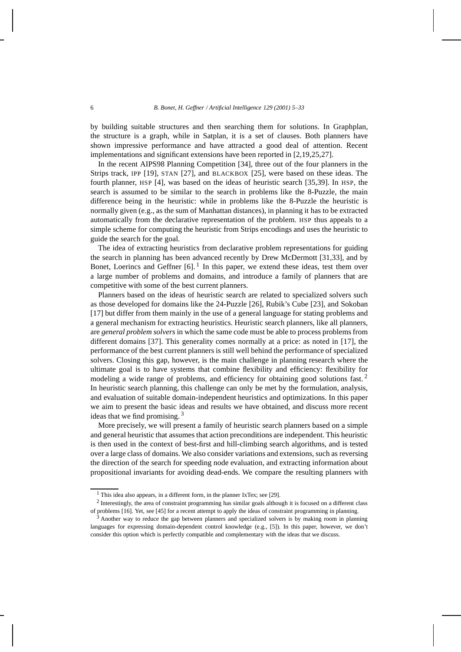by building suitable structures and then searching them for solutions. In Graphplan, the structure is a graph, while in Satplan, it is a set of clauses. Both planners have shown impressive performance and have attracted a good deal of attention. Recent implementations and significant extensions have been reported in [2,19,25,27].

In the recent AIPS98 Planning Competition [34], three out of the four planners in the Strips track, IPP [19], STAN [27], and BLACKBOX [25], were based on these ideas. The fourth planner, HSP [4], was based on the ideas of heuristic search [35,39]. In HSP, the search is assumed to be similar to the search in problems like the 8-Puzzle, the main difference being in the heuristic: while in problems like the 8-Puzzle the heuristic is normally given (e.g., as the sum of Manhattan distances), in planning it has to be extracted automatically from the declarative representation of the problem. HSP thus appeals to a simple scheme for computing the heuristic from Strips encodings and uses the heuristic to guide the search for the goal.

The idea of extracting heuristics from declarative problem representations for guiding the search in planning has been advanced recently by Drew McDermott [31,33], and by Bonet, Loerincs and Geffner  $[6]$ . In this paper, we extend these ideas, test them over a large number of problems and domains, and introduce a family of planners that are competitive with some of the best current planners.

Planners based on the ideas of heuristic search are related to specialized solvers such as those developed for domains like the 24-Puzzle [26], Rubik's Cube [23], and Sokoban [17] but differ from them mainly in the use of a general language for stating problems and a general mechanism for extracting heuristics. Heuristic search planners, like all planners, are *general problem solvers* in which the same code must be able to process problems from different domains [37]. This generality comes normally at a price: as noted in [17], the performance of the best current planners is still well behind the performance of specialized solvers. Closing this gap, however, is the main challenge in planning research where the ultimate goal is to have systems that combine flexibility and efficiency: flexibility for modeling a wide range of problems, and efficiency for obtaining good solutions fast. <sup>2</sup> In heuristic search planning, this challenge can only be met by the formulation, analysis, and evaluation of suitable domain-independent heuristics and optimizations. In this paper we aim to present the basic ideas and results we have obtained, and discuss more recent ideas that we find promising.  $3$ 

More precisely, we will present a family of heuristic search planners based on a simple and general heuristic that assumes that action preconditions are independent. This heuristic is then used in the context of best-first and hill-climbing search algorithms, and is tested over a large class of domains. We also consider variations and extensions, such as reversing the direction of the search for speeding node evaluation, and extracting information about propositional invariants for avoiding dead-ends. We compare the resulting planners with

<sup>&</sup>lt;sup>1</sup> This idea also appears, in a different form, in the planner IxTex; see [29].

<sup>&</sup>lt;sup>2</sup> Interestingly, the area of constraint programming has similar goals although it is focused on a different class of problems [16]. Yet, see [45] for a recent attempt to apply the ideas of constraint programming in planning.

<sup>&</sup>lt;sup>3</sup> Another way to reduce the gap between planners and specialized solvers is by making room in planning languages for expressing domain-dependent control knowledge (e.g., [5]). In this paper, however, we don't consider this option which is perfectly compatible and complementary with the ideas that we discuss.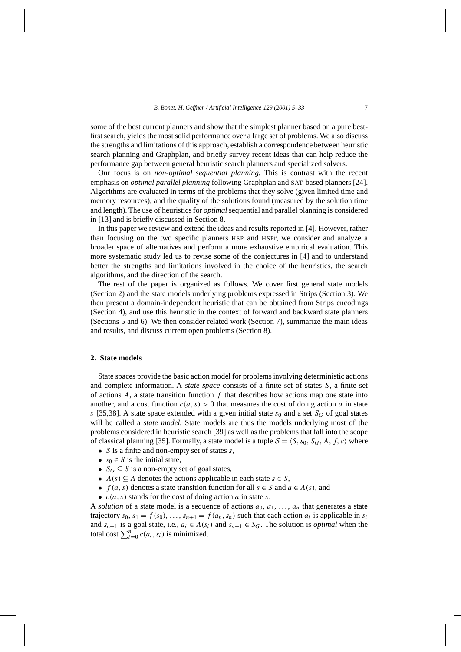some of the best current planners and show that the simplest planner based on a pure bestfirst search, yields the most solid performance over a large set of problems. We also discuss the strengths and limitations of this approach, establish a correspondence between heuristic search planning and Graphplan, and briefly survey recent ideas that can help reduce the performance gap between general heuristic search planners and specialized solvers.

Our focus is on *non-optimal sequential planning.* This is contrast with the recent emphasis on *optimal parallel planning* following Graphplan and SAT-based planners [24]. Algorithms are evaluated in terms of the problems that they solve (given limited time and memory resources), and the quality of the solutions found (measured by the solution time and length). The use of heuristics for *optimal*sequential and parallel planning is considered in [13] and is briefly discussed in Section 8.

In this paper we review and extend the ideas and results reported in [4]. However, rather than focusing on the two specific planners HSP and HSPr, we consider and analyze a broader space of alternatives and perform a more exhaustive empirical evaluation. This more systematic study led us to revise some of the conjectures in [4] and to understand better the strengths and limitations involved in the choice of the heuristics, the search algorithms, and the direction of the search.

The rest of the paper is organized as follows. We cover first general state models (Section 2) and the state models underlying problems expressed in Strips (Section 3). We then present a domain-independent heuristic that can be obtained from Strips encodings (Section 4), and use this heuristic in the context of forward and backward state planners (Sections 5 and 6). We then consider related work (Section 7), summarize the main ideas and results, and discuss current open problems (Section 8).

## **2. State models**

State spaces provide the basic action model for problems involving deterministic actions and complete information. A *state space* consists of a finite set of states *S*, a finite set of actions  $A$ , a state transition function  $f$  that describes how actions map one state into another, and a cost function  $c(a, s) > 0$  that measures the cost of doing action *a* in state  $s$  [35,38]. A state space extended with a given initial state  $s_0$  and a set  $S_G$  of goal states will be called a *state model.* State models are thus the models underlying most of the problems considered in heuristic search [39] as well as the problems that fall into the scope of classical planning [35]. Formally, a state model is a tuple  $S = \langle S, s_0, S_G, A, f, c \rangle$  where

- *S* is a finite and non-empty set of states *s*,
- $s_0 \in S$  is the initial state,
- $S_G \subseteq S$  is a non-empty set of goal states,
- $A(s) \subseteq A$  denotes the actions applicable in each state  $s \in S$ ,
- $f(a, s)$  denotes a state transition function for all  $s \in S$  and  $a \in A(s)$ , and
- *c(a, s)* stands for the cost of doing action *a* in state *s*.

A *solution* of a state model is a sequence of actions  $a_0, a_1, \ldots, a_n$  that generates a state trajectory  $s_0$ ,  $s_1 = f(s_0)$ , ...,  $s_{n+1} = f(a_n, s_n)$  such that each action  $a_i$  is applicable in  $s_i$ and  $s_{n+1}$  is a goal state, i.e.,  $a_i \in A(s_i)$  and  $s_{n+1} \in S_G$ . The solution is *optimal* when the total cost  $\sum_{i=0}^{n} c(a_i, s_i)$  is minimized.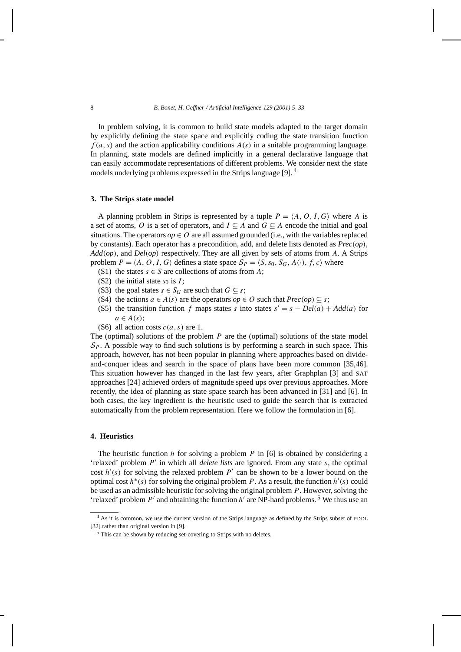In problem solving, it is common to build state models adapted to the target domain by explicitly defining the state space and explicitly coding the state transition function  $f(a, s)$  and the action applicability conditions  $A(s)$  in a suitable programming language. In planning, state models are defined implicitly in a general declarative language that can easily accommodate representations of different problems. We consider next the state models underlying problems expressed in the Strips language [9]. <sup>4</sup>

# **3. The Strips state model**

A planning problem in Strips is represented by a tuple  $P = \langle A, O, I, G \rangle$  where A is a set of atoms, *O* is a set of operators, and  $I \subseteq A$  and  $G \subseteq A$  encode the initial and goal situations. The operators  $op \in O$  are all assumed grounded (i.e., with the variables replaced by constants). Each operator has a precondition, add, and delete lists denoted as *Prec(op)*, *Add(op)*, and *Del(op)* respectively. They are all given by sets of atoms from *A*. A Strips problem  $P = \langle A, O, I, G \rangle$  defines a state space  $S_P = \langle S, s_0, S_G, A(\cdot), f, c \rangle$  where

- (S1) the states  $s \in S$  are collections of atoms from *A*;
- (S2) the initial state  $s_0$  is  $I$ ;
- (S3) the goal states  $s \in S_G$  are such that  $G \subseteq s$ ;
- (S4) the actions  $a \in A(s)$  are the operators  $op \in O$  such that  $Prec(op) \subseteq s$ ;
- (S5) the transition function *f* maps states *s* into states  $s' = s Del(a) + Add(a)$  for  $a \in A(s)$ ;
- (S6) all action costs *c(a, s)* are 1.

The (optimal) solutions of the problem *P* are the (optimal) solutions of the state model  $S_P$ . A possible way to find such solutions is by performing a search in such space. This approach, however, has not been popular in planning where approaches based on divideand-conquer ideas and search in the space of plans have been more common [35,46]. This situation however has changed in the last few years, after Graphplan [3] and SAT approaches [24] achieved orders of magnitude speed ups over previous approaches. More recently, the idea of planning as state space search has been advanced in [31] and [6]. In both cases, the key ingredient is the heuristic used to guide the search that is extracted automatically from the problem representation. Here we follow the formulation in [6].

## **4. Heuristics**

The heuristic function *h* for solving a problem *P* in [6] is obtained by considering a 'relaxed' problem *P'* in which all *delete lists* are ignored. From any state *s*, the optimal cost  $h'(s)$  for solving the relaxed problem  $P'$  can be shown to be a lower bound on the optimal cost  $h^*(s)$  for solving the original problem *P*. As a result, the function  $h'(s)$  could be used as an admissible heuristic for solving the original problem *P*. However, solving the 'relaxed' problem  $P'$  and obtaining the function  $h'$  are NP-hard problems.<sup>5</sup> We thus use an

<sup>&</sup>lt;sup>4</sup> As it is common, we use the current version of the Strips language as defined by the Strips subset of PDDL [32] rather than original version in [9].

<sup>5</sup> This can be shown by reducing set-covering to Strips with no deletes.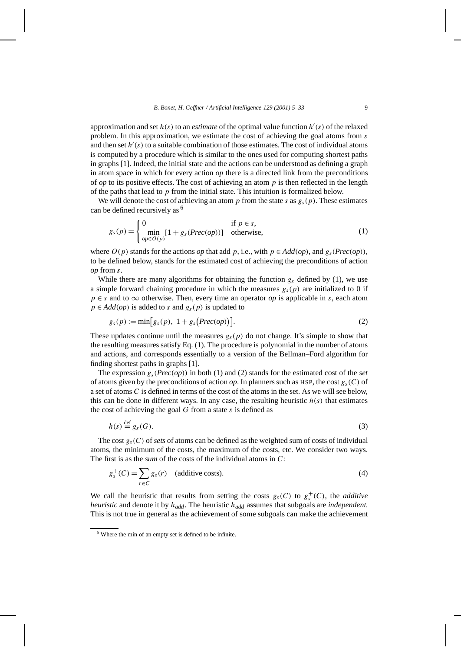approximation and set  $h(s)$  to an *estimate* of the optimal value function  $h'(s)$  of the relaxed problem. In this approximation, we estimate the cost of achieving the goal atoms from *s* and then set  $h'(s)$  to a suitable combination of those estimates. The cost of individual atoms is computed by a procedure which is similar to the ones used for computing shortest paths in graphs [1]. Indeed, the initial state and the actions can be understood as defining a graph in atom space in which for every action *op* there is a directed link from the preconditions of *op* to its positive effects. The cost of achieving an atom  $p$  is then reflected in the length of the paths that lead to *p* from the initial state. This intuition is formalized below.

We will denote the cost of achieving an atom  $p$  from the state  $s$  as  $g_s(p)$ . These estimates can be defined recursively as <sup>6</sup>

$$
g_s(p) = \begin{cases} 0 & \text{if } p \in s, \\ \min_{op \in O(p)} [1 + g_s(Prec(op))] & \text{otherwise,} \end{cases}
$$
 (1)

where  $O(p)$  stands for the actions *op* that add *p*, i.e., with  $p \in Add(op)$ , and  $g_s(Prec(op))$ , to be defined below, stands for the estimated cost of achieving the preconditions of action *op* from *s*.

While there are many algorithms for obtaining the function  $g_s$  defined by (1), we use a simple forward chaining procedure in which the measures  $g<sub>s</sub>(p)$  are initialized to 0 if  $p \in s$  and to  $\infty$  otherwise. Then, every time an operator *op* is applicable in *s*, each atom  $p \in Add(op)$  is added to *s* and  $g_s(p)$  is updated to

$$
g_s(p) := \min[g_s(p), 1 + g_s(Prec(op))]. \tag{2}
$$

These updates continue until the measures  $g_s(p)$  do not change. It's simple to show that the resulting measures satisfy Eq. (1). The procedure is polynomial in the number of atoms and actions, and corresponds essentially to a version of the Bellman–Ford algorithm for finding shortest paths in graphs [1].

The expression  $g_s(Prec(op))$  in both (1) and (2) stands for the estimated cost of the *set* of atoms given by the preconditions of action *op*. In planners such as HSP, the cost  $g_s(C)$  of a set of atoms *C* is defined in terms of the cost of the atoms in the set. As we will see below, this can be done in different ways. In any case, the resulting heuristic  $h(s)$  that estimates the cost of achieving the goal *G* from a state *s* is defined as

$$
h(s) \stackrel{\text{def}}{=} g_s(G). \tag{3}
$$

The cost  $g_s(C)$  of *sets* of atoms can be defined as the weighted sum of costs of individual atoms, the minimum of the costs, the maximum of the costs, etc. We consider two ways. The first is as the *sum* of the costs of the individual atoms in *C*:

$$
g_s^+(C) = \sum_{r \in C} g_s(r) \quad \text{(additive costs)}.
$$
 (4)

We call the heuristic that results from setting the costs  $g_s(C)$  to  $g_s^+(C)$ , the *additive heuristic* and denote it by *hadd*. The heuristic *hadd* assumes that subgoals are *independent.* This is not true in general as the achievement of some subgoals can make the achievement

 $6$  Where the min of an empty set is defined to be infinite.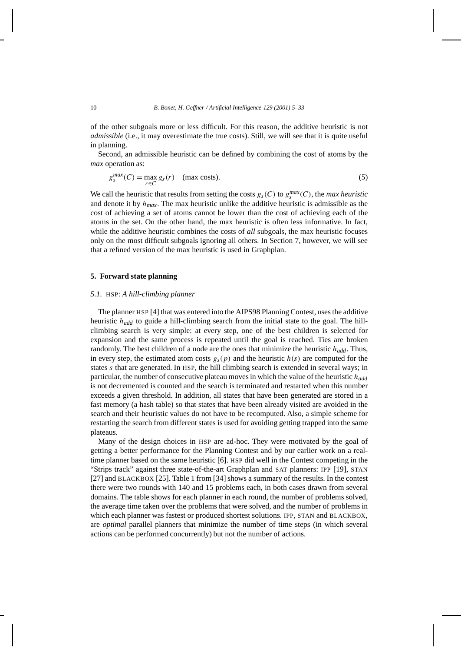of the other subgoals more or less difficult. For this reason, the additive heuristic is not *admissible* (i.e., it may overestimate the true costs). Still, we will see that it is quite useful in planning.

Second, an admissible heuristic can be defined by combining the cost of atoms by the *max* operation as:

$$
g_s^{max}(C) = \max_{r \in C} g_s(r) \quad \text{(max costs)}.
$$
 (5)

We call the heuristic that results from setting the costs  $g_s(C)$  to  $g_s^{max}(C)$ , the *max heuristic* and denote it by  $h_{max}$ . The max heuristic unlike the additive heuristic is admissible as the cost of achieving a set of atoms cannot be lower than the cost of achieving each of the atoms in the set. On the other hand, the max heuristic is often less informative. In fact, while the additive heuristic combines the costs of *all* subgoals, the max heuristic focuses only on the most difficult subgoals ignoring all others. In Section 7, however, we will see that a refined version of the max heuristic is used in Graphplan.

#### **5. Forward state planning**

#### *5.1.* HSP: *A hill-climbing planner*

The planner HSP [4] that was entered into the AIPS98 Planning Contest, uses the additive heuristic *hadd* to guide a hill-climbing search from the initial state to the goal. The hillclimbing search is very simple: at every step, one of the best children is selected for expansion and the same process is repeated until the goal is reached. Ties are broken randomly. The best children of a node are the ones that minimize the heuristic *hadd*. Thus, in every step, the estimated atom costs  $g_s(p)$  and the heuristic  $h(s)$  are computed for the states *s* that are generated. In HSP, the hill climbing search is extended in several ways; in particular, the number of consecutive plateau moves in which the value of the heuristic *hadd* is not decremented is counted and the search is terminated and restarted when this number exceeds a given threshold. In addition, all states that have been generated are stored in a fast memory (a hash table) so that states that have been already visited are avoided in the search and their heuristic values do not have to be recomputed. Also, a simple scheme for restarting the search from different states is used for avoiding getting trapped into the same plateaus.

Many of the design choices in HSP are ad-hoc. They were motivated by the goal of getting a better performance for the Planning Contest and by our earlier work on a realtime planner based on the same heuristic [6]. HSP did well in the Contest competing in the "Strips track" against three state-of-the-art Graphplan and SAT planners: IPP [19], STAN [27] and BLACKBOX [25]. Table 1 from [34] shows a summary of the results. In the contest there were two rounds with 140 and 15 problems each, in both cases drawn from several domains. The table shows for each planner in each round, the number of problems solved, the average time taken over the problems that were solved, and the number of problems in which each planner was fastest or produced shortest solutions. IPP, STAN and BLACKBOX, are *optimal* parallel planners that minimize the number of time steps (in which several actions can be performed concurrently) but not the number of actions.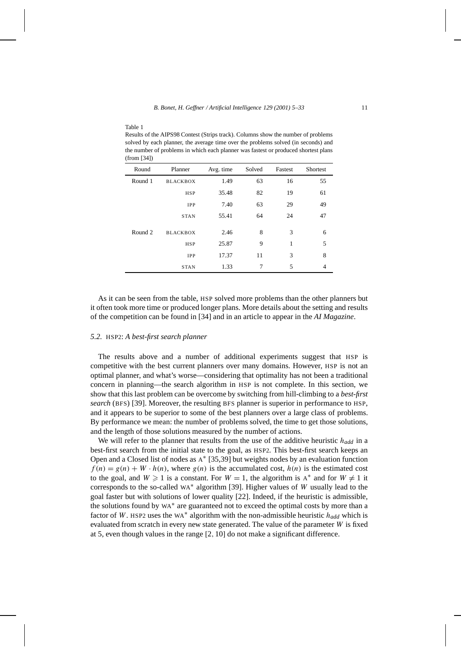| (from [34]) |                 |           |        |         |          |
|-------------|-----------------|-----------|--------|---------|----------|
| Round       | Planner         | Avg. time | Solved | Fastest | Shortest |
| Round 1     | <b>BLACKBOX</b> | 1.49      | 63     | 16      | 55       |
|             | <b>HSP</b>      | 35.48     | 82     | 19      | 61       |
|             | <b>IPP</b>      | 7.40      | 63     | 29      | 49       |
|             | <b>STAN</b>     | 55.41     | 64     | 24      | 47       |
| Round 2     | <b>BLACKBOX</b> | 2.46      | 8      | 3       | 6        |
|             | <b>HSP</b>      | 25.87     | 9      | 1       | 5        |
|             | IPP             | 17.37     | 11     | 3       | 8        |
|             | <b>STAN</b>     | 1.33      | 7      | 5       | 4        |

Results of the AIPS98 Contest (Strips track). Columns show the number of problems solved by each planner, the average time over the problems solved (in seconds) and the number of problems in which each planner was fastest or produced shortest plans

As it can be seen from the table, HSP solved more problems than the other planners but it often took more time or produced longer plans. More details about the setting and results of the competition can be found in [34] and in an article to appear in the *AI Magazine*.

# *5.2.* HSP2: *A best-first search planner*

Table 1

The results above and a number of additional experiments suggest that HSP is competitive with the best current planners over many domains. However, HSP is not an optimal planner, and what's worse—considering that optimality has not been a traditional concern in planning—the search algorithm in HSP is not complete. In this section, we show that this last problem can be overcome by switching from hill-climbing to a *best-first search* (BFS) [39]. Moreover, the resulting BFS planner is superior in performance to HSP, and it appears to be superior to some of the best planners over a large class of problems. By performance we mean: the number of problems solved, the time to get those solutions, and the length of those solutions measured by the number of actions.

We will refer to the planner that results from the use of the additive heuristic *hadd* in a best-first search from the initial state to the goal, as HSP2. This best-first search keeps an Open and a Closed list of nodes as <sup>A</sup><sup>∗</sup> [35,39] but weights nodes by an evaluation function  $f(n) = g(n) + W \cdot h(n)$ , where  $g(n)$  is the accumulated cost,  $h(n)$  is the estimated cost to the goal, and  $W \ge 1$  is a constant. For  $W = 1$ , the algorithm is A<sup>\*</sup> and for  $W \ne 1$  it corresponds to the so-called WA<sup>∗</sup> algorithm [39]. Higher values of *W* usually lead to the goal faster but with solutions of lower quality [22]. Indeed, if the heuristic is admissible, the solutions found by WA<sup>∗</sup> are guaranteed not to exceed the optimal costs by more than a factor of *W*. HSP2 uses the WA<sup>∗</sup> algorithm with the non-admissible heuristic *hadd* which is evaluated from scratch in every new state generated. The value of the parameter *W* is fixed at 5, even though values in the range [2*,* 10] do not make a significant difference.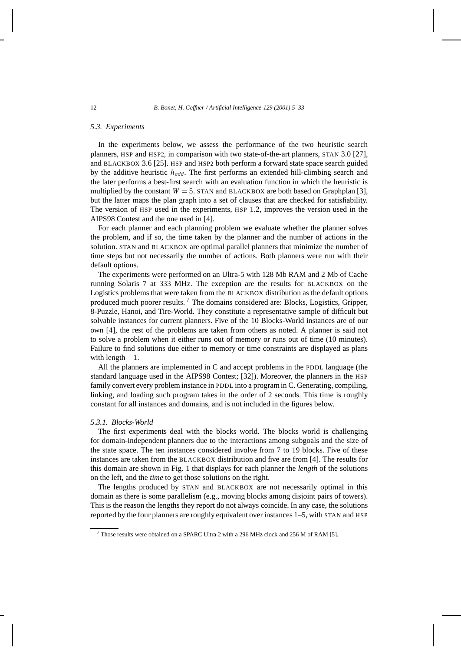### *5.3. Experiments*

In the experiments below, we assess the performance of the two heuristic search planners, HSP and HSP2, in comparison with two state-of-the-art planners, STAN 3.0 [27], and BLACKBOX 3.6 [25]. HSP and HSP2 both perform a forward state space search guided by the additive heuristic *hadd*. The first performs an extended hill-climbing search and the later performs a best-first search with an evaluation function in which the heuristic is multiplied by the constant  $W = 5$ . STAN and BLACKBOX are both based on Graphplan [3], but the latter maps the plan graph into a set of clauses that are checked for satisfiability. The version of HSP used in the experiments, HSP 1.2, improves the version used in the AIPS98 Contest and the one used in [4].

For each planner and each planning problem we evaluate whether the planner solves the problem, and if so, the time taken by the planner and the number of actions in the solution. STAN and BLACKBOX are optimal parallel planners that minimize the number of time steps but not necessarily the number of actions. Both planners were run with their default options.

The experiments were performed on an Ultra-5 with 128 Mb RAM and 2 Mb of Cache running Solaris 7 at 333 MHz. The exception are the results for BLACKBOX on the Logistics problems that were taken from the BLACKBOX distribution as the default options produced much poorer results. <sup>7</sup> The domains considered are: Blocks, Logistics, Gripper, 8-Puzzle, Hanoi, and Tire-World. They constitute a representative sample of difficult but solvable instances for current planners. Five of the 10 Blocks-World instances are of our own [4], the rest of the problems are taken from others as noted. A planner is said not to solve a problem when it either runs out of memory or runs out of time (10 minutes). Failure to find solutions due either to memory or time constraints are displayed as plans with length  $-1$ .

All the planners are implemented in C and accept problems in the PDDL language (the standard language used in the AIPS98 Contest; [32]). Moreover, the planners in the HSP family convert every problem instance in PDDL into a program in C. Generating, compiling, linking, and loading such program takes in the order of 2 seconds. This time is roughly constant for all instances and domains, and is not included in the figures below.

## *5.3.1. Blocks-World*

The first experiments deal with the blocks world. The blocks world is challenging for domain-independent planners due to the interactions among subgoals and the size of the state space. The ten instances considered involve from 7 to 19 blocks. Five of these instances are taken from the BLACKBOX distribution and five are from [4]. The results for this domain are shown in Fig. 1 that displays for each planner the *length* of the solutions on the left, and the *time* to get those solutions on the right.

The lengths produced by STAN and BLACKBOX are not necessarily optimal in this domain as there is some parallelism (e.g., moving blocks among disjoint pairs of towers). This is the reason the lengths they report do not always coincide. In any case, the solutions reported by the four planners are roughly equivalent over instances 1–5, with STAN and HSP

 $7$  Those results were obtained on a SPARC Ultra 2 with a 296 MHz clock and 256 M of RAM [5].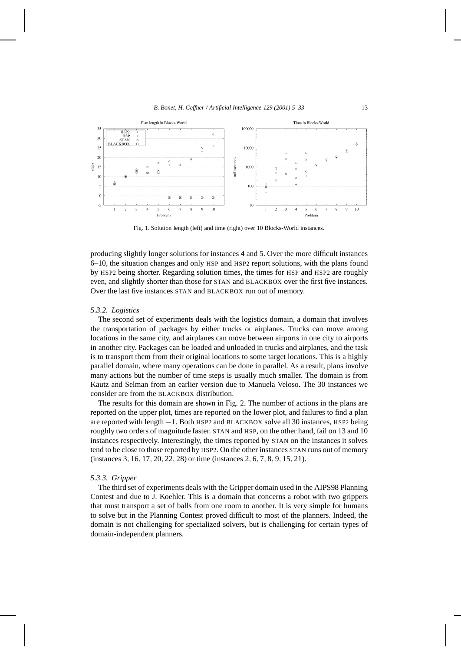

Fig. 1. Solution length (left) and time (right) over 10 Blocks-World instances.

producing slightly longer solutions for instances 4 and 5. Over the more difficult instances 6–10, the situation changes and only HSP and HSP2 report solutions, with the plans found by HSP2 being shorter. Regarding solution times, the times for HSP and HSP2 are roughly even, and slightly shorter than those for STAN and BLACKBOX over the first five instances. Over the last five instances STAN and BLACKBOX run out of memory.

# *5.3.2. Logistics*

The second set of experiments deals with the logistics domain, a domain that involves the transportation of packages by either trucks or airplanes. Trucks can move among locations in the same city, and airplanes can move between airports in one city to airports in another city. Packages can be loaded and unloaded in trucks and airplanes, and the task is to transport them from their original locations to some target locations. This is a highly parallel domain, where many operations can be done in parallel. As a result, plans involve many actions but the number of time steps is usually much smaller. The domain is from Kautz and Selman from an earlier version due to Manuela Veloso. The 30 instances we consider are from the BLACKBOX distribution.

The results for this domain are shown in Fig. 2. The number of actions in the plans are reported on the upper plot, times are reported on the lower plot, and failures to find a plan are reported with length −1. Both HSP2 and BLACKBOX solve all 30 instances, HSP2 being roughly two orders of magnitude faster. STAN and HSP, on the other hand, fail on 13 and 10 instances respectively. Interestingly, the times reported by STAN on the instances it solves tend to be close to those reported by HSP2. On the other instances STAN runs out of memory (instances 3*,* 16*,* 17*,* 20*,* 22*,* 28) or time (instances 2*,* 6*,* 7*,* 8*,* 9*,* 15*,* 21).

## *5.3.3. Gripper*

The third set of experiments deals with the Gripper domain used in the AIPS98 Planning Contest and due to J. Koehler. This is a domain that concerns a robot with two grippers that must transport a set of balls from one room to another. It is very simple for humans to solve but in the Planning Contest proved difficult to most of the planners. Indeed, the domain is not challenging for specialized solvers, but is challenging for certain types of domain-independent planners.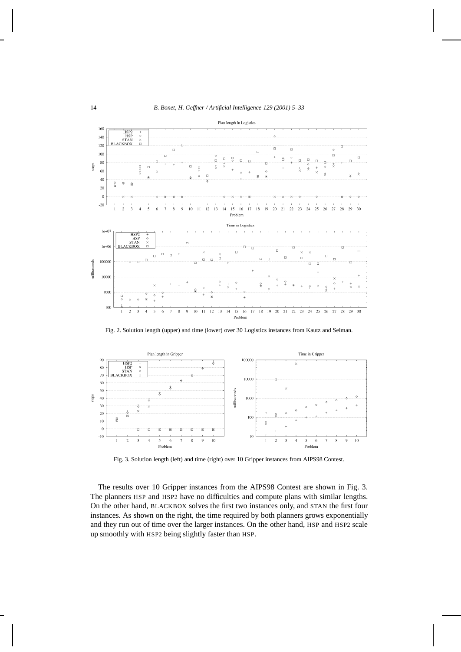

Fig. 2. Solution length (upper) and time (lower) over 30 Logistics instances from Kautz and Selman.



Fig. 3. Solution length (left) and time (right) over 10 Gripper instances from AIPS98 Contest.

The results over 10 Gripper instances from the AIPS98 Contest are shown in Fig. 3. The planners HSP and HSP2 have no difficulties and compute plans with similar lengths. On the other hand, BLACKBOX solves the first two instances only, and STAN the first four instances. As shown on the right, the time required by both planners grows exponentially and they run out of time over the larger instances. On the other hand, HSP and HSP2 scale up smoothly with HSP2 being slightly faster than HSP.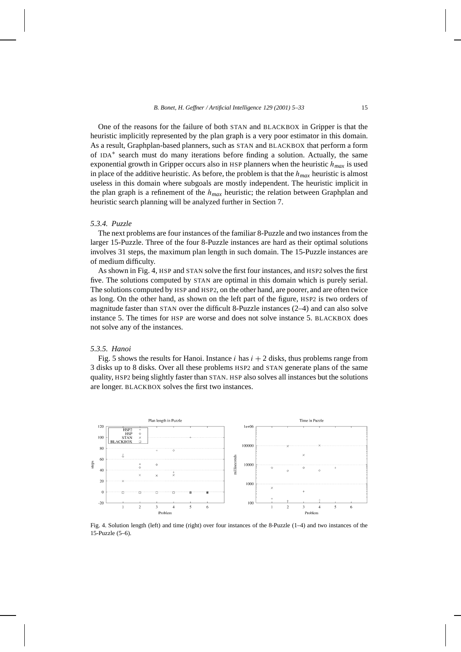One of the reasons for the failure of both STAN and BLACKBOX in Gripper is that the heuristic implicitly represented by the plan graph is a very poor estimator in this domain. As a result, Graphplan-based planners, such as STAN and BLACKBOX that perform a form of IDA<sup>∗</sup> search must do many iterations before finding a solution. Actually, the same exponential growth in Gripper occurs also in HSP planners when the heuristic  $h_{max}$  is used in place of the additive heuristic. As before, the problem is that the  $h_{max}$  heuristic is almost useless in this domain where subgoals are mostly independent. The heuristic implicit in the plan graph is a refinement of the *hmax* heuristic; the relation between Graphplan and heuristic search planning will be analyzed further in Section 7.

## *5.3.4. Puzzle*

The next problems are four instances of the familiar 8-Puzzle and two instances from the larger 15-Puzzle. Three of the four 8-Puzzle instances are hard as their optimal solutions involves 31 steps, the maximum plan length in such domain. The 15-Puzzle instances are of medium difficulty.

As shown in Fig. 4, HSP and STAN solve the first four instances, and HSP2 solves the first five. The solutions computed by STAN are optimal in this domain which is purely serial. The solutions computed by HSP and HSP2, on the other hand, are poorer, and are often twice as long. On the other hand, as shown on the left part of the figure, HSP2 is two orders of magnitude faster than STAN over the difficult 8-Puzzle instances (2–4) and can also solve instance 5. The times for HSP are worse and does not solve instance 5. BLACKBOX does not solve any of the instances.

# *5.3.5. Hanoi*

Fig. 5 shows the results for Hanoi. Instance  $i$  has  $i + 2$  disks, thus problems range from 3 disks up to 8 disks. Over all these problems HSP2 and STAN generate plans of the same quality, HSP2 being slightly faster than STAN. HSP also solves all instances but the solutions are longer. BLACKBOX solves the first two instances.



Fig. 4. Solution length (left) and time (right) over four instances of the 8-Puzzle (1–4) and two instances of the 15-Puzzle (5–6).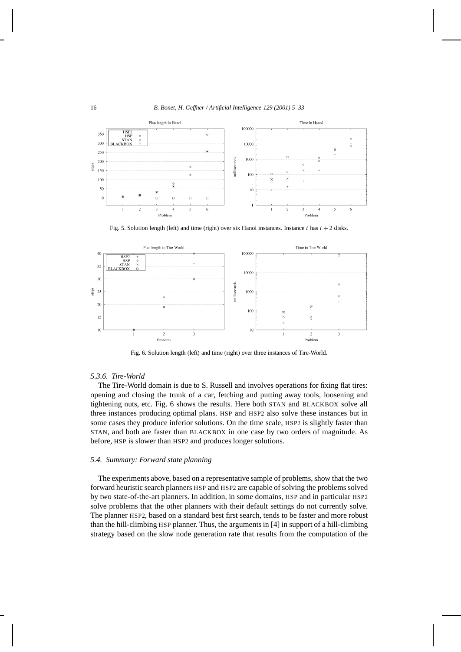

Fig. 5. Solution length (left) and time (right) over six Hanoi instances. Instance *i* has  $i + 2$  disks.



Fig. 6. Solution length (left) and time (right) over three instances of Tire-World.

## *5.3.6. Tire-World*

The Tire-World domain is due to S. Russell and involves operations for fixing flat tires: opening and closing the trunk of a car, fetching and putting away tools, loosening and tightening nuts, etc. Fig. 6 shows the results. Here both STAN and BLACKBOX solve all three instances producing optimal plans. HSP and HSP2 also solve these instances but in some cases they produce inferior solutions. On the time scale, HSP2 is slightly faster than STAN, and both are faster than BLACKBOX in one case by two orders of magnitude. As before, HSP is slower than HSP2 and produces longer solutions.

## *5.4. Summary: Forward state planning*

The experiments above, based on a representative sample of problems, show that the two forward heuristic search planners HSP and HSP2 are capable of solving the problems solved by two state-of-the-art planners. In addition, in some domains, HSP and in particular HSP2 solve problems that the other planners with their default settings do not currently solve. The planner HSP2, based on a standard best first search, tends to be faster and more robust than the hill-climbing HSP planner. Thus, the arguments in [4] in support of a hill-climbing strategy based on the slow node generation rate that results from the computation of the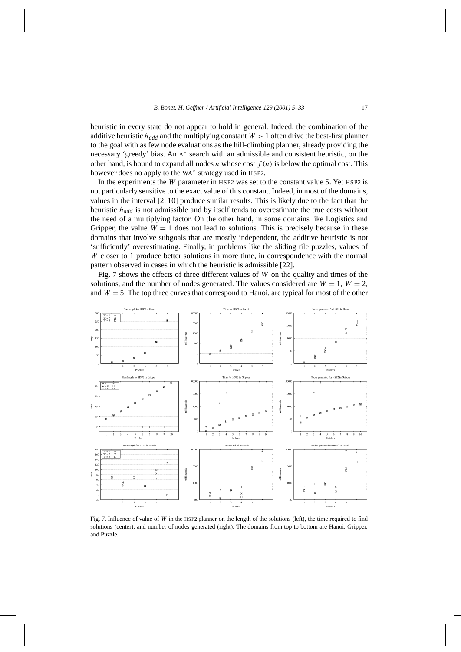heuristic in every state do not appear to hold in general. Indeed, the combination of the additive heuristic  $h_{add}$  and the multiplying constant  $W > 1$  often drive the best-first planner to the goal with as few node evaluations as the hill-climbing planner, already providing the necessary 'greedy' bias. An <sup>A</sup><sup>∗</sup> search with an admissible and consistent heuristic, on the other hand, is bound to expand all nodes *n* whose cost  $f(n)$  is below the optimal cost. This however does no apply to the WA<sup>∗</sup> strategy used in HSP2.

In the experiments the *W* parameter in HSP2 was set to the constant value 5. Yet HSP2 is not particularly sensitive to the exact value of this constant. Indeed, in most of the domains, values in the interval [2*,* 10] produce similar results. This is likely due to the fact that the heuristic *hadd* is not admissible and by itself tends to overestimate the true costs without the need of a multiplying factor. On the other hand, in some domains like Logistics and Gripper, the value  $W = 1$  does not lead to solutions. This is precisely because in these domains that involve subgoals that are mostly independent, the additive heuristic is not 'sufficiently' overestimating. Finally, in problems like the sliding tile puzzles, values of *W* closer to 1 produce better solutions in more time, in correspondence with the normal pattern observed in cases in which the heuristic is admissible [22].

Fig. 7 shows the effects of three different values of *W* on the quality and times of the solutions, and the number of nodes generated. The values considered are  $W = 1$ ,  $W = 2$ , and  $W = 5$ . The top three curves that correspond to Hanoi, are typical for most of the other



Fig. 7. Influence of value of *W* in the HSP2 planner on the length of the solutions (left), the time required to find solutions (center), and number of nodes generated (right). The domains from top to bottom are Hanoi, Gripper, and Puzzle.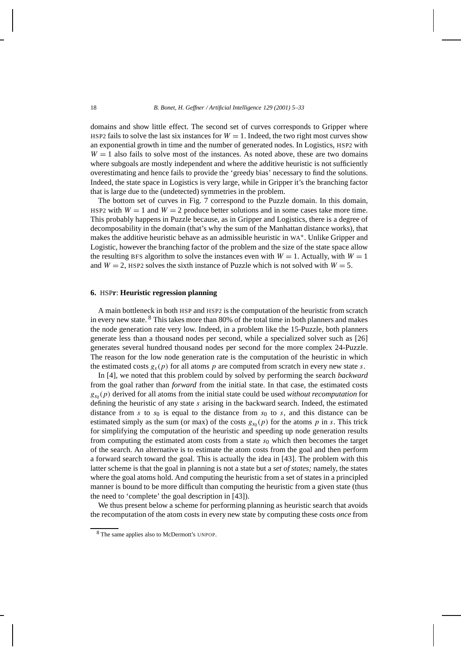domains and show little effect. The second set of curves corresponds to Gripper where HSP2 fails to solve the last six instances for  $W = 1$ . Indeed, the two right most curves show an exponential growth in time and the number of generated nodes. In Logistics, HSP2 with  $W = 1$  also fails to solve most of the instances. As noted above, these are two domains where subgoals are mostly independent and where the additive heuristic is not sufficiently overestimating and hence fails to provide the 'greedy bias' necessary to find the solutions. Indeed, the state space in Logistics is very large, while in Gripper it's the branching factor that is large due to the (undetected) symmetries in the problem.

The bottom set of curves in Fig. 7 correspond to the Puzzle domain. In this domain, HSP2 with  $W = 1$  and  $W = 2$  produce better solutions and in some cases take more time. This probably happens in Puzzle because, as in Gripper and Logistics, there is a degree of decomposability in the domain (that's why the sum of the Manhattan distance works), that makes the additive heuristic behave as an admissible heuristic in WA∗. Unlike Gripper and Logistic, however the branching factor of the problem and the size of the state space allow the resulting BFS algorithm to solve the instances even with  $W = 1$ . Actually, with  $W = 1$ and  $W = 2$ , HSP2 solves the sixth instance of Puzzle which is not solved with  $W = 5$ .

# **6.** HSP**r**: **Heuristic regression planning**

A main bottleneck in both HSP and HSP2 is the computation of the heuristic from scratch in every new state. <sup>8</sup> This takes more than 80% of the total time in both planners and makes the node generation rate very low. Indeed, in a problem like the 15-Puzzle, both planners generate less than a thousand nodes per second, while a specialized solver such as [26] generates several hundred thousand nodes per second for the more complex 24-Puzzle. The reason for the low node generation rate is the computation of the heuristic in which the estimated costs  $g_s(p)$  for all atoms p are computed from scratch in every new state *s*.

In [4], we noted that this problem could by solved by performing the search *backward* from the goal rather than *forward* from the initial state. In that case, the estimated costs  $g_{s_0}(p)$  derived for all atoms from the initial state could be used *without recomputation* for defining the heuristic of any state *s* arising in the backward search. Indeed, the estimated distance from *s* to  $s_0$  is equal to the distance from  $s_0$  to *s*, and this distance can be estimated simply as the sum (or max) of the costs  $g_{s_0}(p)$  for the atoms p in s. This trick for simplifying the computation of the heuristic and speeding up node generation results from computing the estimated atom costs from a state  $s<sub>0</sub>$  which then becomes the target of the search. An alternative is to estimate the atom costs from the goal and then perform a forward search toward the goal. This is actually the idea in [43]. The problem with this latter scheme is that the goal in planning is not a state but a *set of states;* namely, the states where the goal atoms hold. And computing the heuristic from a set of states in a principled manner is bound to be more difficult than computing the heuristic from a given state (thus the need to 'complete' the goal description in [43]).

We thus present below a scheme for performing planning as heuristic search that avoids the recomputation of the atom costs in every new state by computing these costs *once* from

<sup>8</sup> The same applies also to McDermott's UNPOP.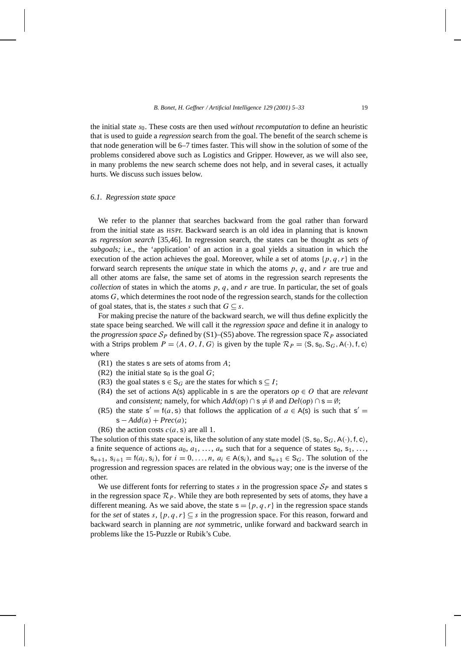the initial state *s*0. These costs are then used *without recomputation* to define an heuristic that is used to guide a *regression* search from the goal. The benefit of the search scheme is that node generation will be 6–7 times faster. This will show in the solution of some of the problems considered above such as Logistics and Gripper. However, as we will also see, in many problems the new search scheme does not help, and in several cases, it actually hurts. We discuss such issues below.

## *6.1. Regression state space*

We refer to the planner that searches backward from the goal rather than forward from the initial state as HSPr. Backward search is an old idea in planning that is known as *regression search* [35,46]. In regression search, the states can be thought as *sets of subgoals;* i.e., the 'application' of an action in a goal yields a situation in which the execution of the action achieves the goal. Moreover, while a set of atoms  $\{p, q, r\}$  in the forward search represents the *unique* state in which the atoms *p*, *q*, and *r* are true and all other atoms are false, the same set of atoms in the regression search represents the *collection* of states in which the atoms  $p$ ,  $q$ , and  $r$  are true. In particular, the set of goals atoms *G*, which determines the root node of the regression search, stands for the collection of goal states, that is, the states *s* such that  $G \subseteq s$ .

For making precise the nature of the backward search, we will thus define explicitly the state space being searched. We will call it the *regression space* and define it in analogy to the *progression space*  $S_p$  defined by (S1)–(S5) above. The regression space  $\mathcal{R}_p$  associated with a Strips problem  $P = \langle A, O, I, G \rangle$  is given by the tuple  $\mathcal{R}_P = \langle S, s_0, S_G, A(\cdot), f, c \rangle$ where

- (R1) the states s are sets of atoms from *A*;
- (R2) the initial state  $s_0$  is the goal  $G$ ;
- (R3) the goal states  $s \in S_G$  are the states for which  $s \subseteq I$ ;
- (R4) the set of actions A(s) applicable in s are the operators  $op \in O$  that are *relevant* and *consistent;* namely, for which  $Add(op) \cap s \neq \emptyset$  and  $Del(op) \cap s = \emptyset$ ;
- (R5) the state  $s' = f(a, s)$  that follows the application of  $a \in A(s)$  is such that  $s' = f(a, s)$  $s - Add(a) + Prec(a);$
- (R6) the action costs  $c(a, s)$  are all 1.

The solution of this state space is, like the solution of any state model  $\langle S, s_0, S_G, A(\cdot), f, c \rangle$ , a finite sequence of actions  $a_0, a_1, \ldots, a_n$  such that for a sequence of states  $s_0, s_1, \ldots$ ,  $s_{n+1}$ ,  $s_{i+1} = f(a_i, s_i)$ , for  $i = 0, \ldots, n$ ,  $a_i \in A(s_i)$ , and  $s_{n+1} \in S_G$ . The solution of the progression and regression spaces are related in the obvious way; one is the inverse of the other.

We use different fonts for referring to states  $s$  in the progression space  $S_p$  and states  $s$ in the regression space  $\mathcal{R}_P$ . While they are both represented by sets of atoms, they have a different meaning. As we said above, the state  $s = \{p, q, r\}$  in the regression space stands for the *set* of states *s*,  $\{p, q, r\} \subseteq s$  in the progression space. For this reason, forward and backward search in planning are *not* symmetric, unlike forward and backward search in problems like the 15-Puzzle or Rubik's Cube.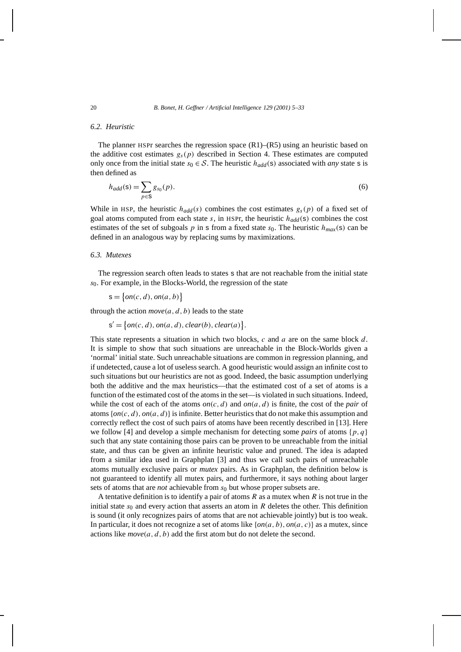# *6.2. Heuristic*

The planner HSPr searches the regression space  $(R1)$ – $(R5)$  using an heuristic based on the additive cost estimates  $g_s(p)$  described in Section 4. These estimates are computed only once from the initial state  $s_0 \in S$ . The heuristic  $h_{add}(s)$  associated with *any* state s is then defined as

$$
h_{add}(\mathbf{s}) = \sum_{p \in \mathbf{S}} g_{s_0}(p). \tag{6}
$$

While in HSP, the heuristic  $h_{add}(s)$  combines the cost estimates  $g_s(p)$  of a fixed set of goal atoms computed from each state  $s$ , in HSPr, the heuristic  $h_{add}(s)$  combines the cost estimates of the set of subgoals p in s from a fixed state  $s_0$ . The heuristic  $h_{max}(s)$  can be defined in an analogous way by replacing sums by maximizations.

# *6.3. Mutexes*

The regression search often leads to states s that are not reachable from the initial state *s*0. For example, in the Blocks-World, the regression of the state

$$
s = \{on(c, d), on(a, b)\}\
$$

through the action  $move(a, d, b)$  leads to the state

$$
s' = \{on(c, d), on(a, d), clear(b), clear(a)\}.
$$

This state represents a situation in which two blocks, *c* and *a* are on the same block *d*. It is simple to show that such situations are unreachable in the Block-Worlds given a 'normal' initial state. Such unreachable situations are common in regression planning, and if undetected, cause a lot of useless search. A good heuristic would assign an infinite cost to such situations but our heuristics are not as good. Indeed, the basic assumption underlying both the additive and the max heuristics—that the estimated cost of a set of atoms is a function of the estimated cost of the atoms in the set—is violated in such situations. Indeed, while the cost of each of the atoms  $on(c, d)$  and  $on(a, d)$  is finite, the cost of the *pair* of atoms{*on(c, d), on(a, d)*} is infinite. Better heuristics that do not make this assumption and correctly reflect the cost of such pairs of atoms have been recently described in [13]. Here we follow [4] and develop a simple mechanism for detecting some *pairs* of atoms {*p, q*} such that any state containing those pairs can be proven to be unreachable from the initial state, and thus can be given an infinite heuristic value and pruned. The idea is adapted from a similar idea used in Graphplan [3] and thus we call such pairs of unreachable atoms mutually exclusive pairs or *mutex* pairs. As in Graphplan, the definition below is not guaranteed to identify all mutex pairs, and furthermore, it says nothing about larger sets of atoms that are *not* achievable from *s*<sup>0</sup> but whose proper subsets are.

A tentative definition is to identify a pair of atoms *R* as a mutex when *R* is not true in the initial state  $s_0$  and every action that asserts an atom in  $R$  deletes the other. This definition is sound (it only recognizes pairs of atoms that are not achievable jointly) but is too weak. In particular, it does not recognize a set of atoms like {*on(a, b), on(a, c)*} as a mutex, since actions like *move(a, d, b)* add the first atom but do not delete the second.

$$
\overline{20}
$$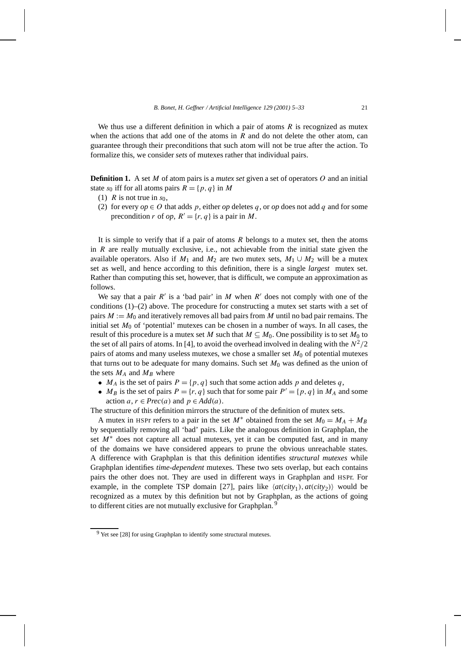We thus use a different definition in which a pair of atoms *R* is recognized as mutex when the actions that add one of the atoms in *R* and do not delete the other atom, can guarantee through their preconditions that such atom will not be true after the action. To formalize this, we consider *sets* of mutexes rather that individual pairs.

**Definition 1.** A set *M* of atom pairs is a *mutex set* given a set of operators *O* and an initial state  $s_0$  iff for all atoms pairs  $R = \{p, q\}$  in M

- (1) *R* is not true in  $s_0$ ,
- (2) for every  $op \in O$  that adds p, either  $op$  deletes q, or  $op$  does not add q and for some precondition *r* of *op*,  $R' = \{r, q\}$  is a pair in *M*.

It is simple to verify that if a pair of atoms *R* belongs to a mutex set, then the atoms in *R* are really mutually exclusive, i.e., not achievable from the initial state given the available operators. Also if  $M_1$  and  $M_2$  are two mutex sets,  $M_1 \cup M_2$  will be a mutex set as well, and hence according to this definition, there is a single *largest* mutex set. Rather than computing this set, however, that is difficult, we compute an approximation as follows.

We say that a pair  $R'$  is a 'bad pair' in  $M$  when  $R'$  does not comply with one of the conditions  $(1)$ – $(2)$  above. The procedure for constructing a mutex set starts with a set of pairs *M* := *M*<sup>0</sup> and iteratively removes all bad pairs from *M* until no bad pair remains. The initial set *M*<sup>0</sup> of 'potential' mutexes can be chosen in a number of ways. In all cases, the result of this procedure is a mutex set *M* such that  $M \subseteq M_0$ . One possibility is to set  $M_0$  to the set of all pairs of atoms. In [4], to avoid the overhead involved in dealing with the  $N^2/2$ pairs of atoms and many useless mutexes, we chose a smaller set *M*<sup>0</sup> of potential mutexes that turns out to be adequate for many domains. Such set  $M_0$  was defined as the union of the sets  $M_A$  and  $M_B$  where

- $M_A$  is the set of pairs  $P = \{p, q\}$  such that some action adds p and deletes q,
- *M<sub>B</sub>* is the set of pairs  $P = \{r, q\}$  such that for some pair  $P' = \{p, q\}$  in  $M_A$  and some action  $a, r \in \text{Prec}(a)$  and  $p \in \text{Add}(a)$ .

The structure of this definition mirrors the structure of the definition of mutex sets.

A mutex in HSPr refers to a pair in the set  $M^*$  obtained from the set  $M_0 = M_A + M_B$ by sequentially removing all 'bad' pairs. Like the analogous definition in Graphplan, the set  $M^*$  does not capture all actual mutexes, yet it can be computed fast, and in many of the domains we have considered appears to prune the obvious unreachable states. A difference with Graphplan is that this definition identifies *structural mutexes* while Graphplan identifies *time-dependent* mutexes. These two sets overlap, but each contains pairs the other does not. They are used in different ways in Graphplan and HSPr. For example, in the complete TSP domain [27], pairs like  $\langle \textit{at}(city_1), \textit{at}(city_2) \rangle$  would be recognized as a mutex by this definition but not by Graphplan, as the actions of going to different cities are not mutually exclusive for Graphplan. <sup>9</sup>

 $9$  Yet see [28] for using Graphplan to identify some structural mutexes.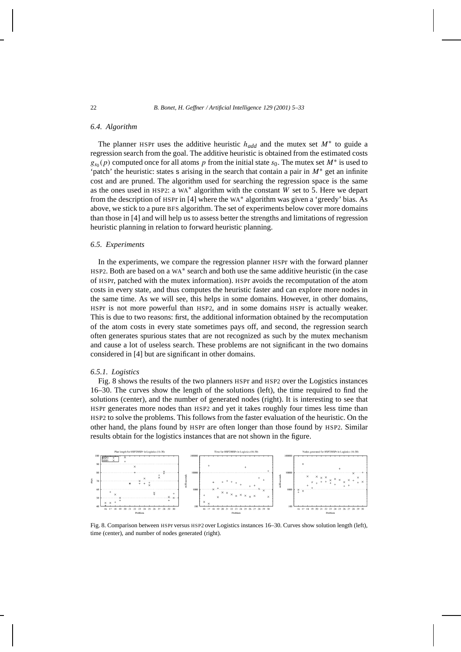## *6.4. Algorithm*

The planner HSPr uses the additive heuristic  $h_{add}$  and the mutex set  $M^*$  to guide a regression search from the goal. The additive heuristic is obtained from the estimated costs  $g_{s0}(p)$  computed once for all atoms *p* from the initial state *s*<sub>0</sub>. The mutex set *M*<sup>∗</sup> is used to 'patch' the heuristic: states s arising in the search that contain a pair in *M*<sup>∗</sup> get an infinite cost and are pruned. The algorithm used for searching the regression space is the same as the ones used in HSP2: a WA<sup>∗</sup> algorithm with the constant *W* set to 5. Here we depart from the description of HSPr in [4] where the WA<sup>∗</sup> algorithm was given a 'greedy' bias. As above, we stick to a pure BFS algorithm. The set of experiments below cover more domains than those in [4] and will help us to assess better the strengths and limitations of regression heuristic planning in relation to forward heuristic planning.

# *6.5. Experiments*

In the experiments, we compare the regression planner HSPr with the forward planner HSP2. Both are based on a WA<sup>∗</sup> search and both use the same additive heuristic (in the case of HSPr, patched with the mutex information). HSPr avoids the recomputation of the atom costs in every state, and thus computes the heuristic faster and can explore more nodes in the same time. As we will see, this helps in some domains. However, in other domains, HSPr is not more powerful than HSP2, and in some domains HSPr is actually weaker. This is due to two reasons: first, the additional information obtained by the recomputation of the atom costs in every state sometimes pays off, and second, the regression search often generates spurious states that are not recognized as such by the mutex mechanism and cause a lot of useless search. These problems are not significant in the two domains considered in [4] but are significant in other domains.

## *6.5.1. Logistics*

Fig. 8 shows the results of the two planners HSPr and HSP2 over the Logistics instances 16–30. The curves show the length of the solutions (left), the time required to find the solutions (center), and the number of generated nodes (right). It is interesting to see that HSPr generates more nodes than HSP2 and yet it takes roughly four times less time than HSP2 to solve the problems. This follows from the faster evaluation of the heuristic. On the other hand, the plans found by HSPr are often longer than those found by HSP2. Similar results obtain for the logistics instances that are not shown in the figure.



Fig. 8. Comparison between HSPr versus HSP2 over Logistics instances 16–30. Curves show solution length (left), time (center), and number of nodes generated (right).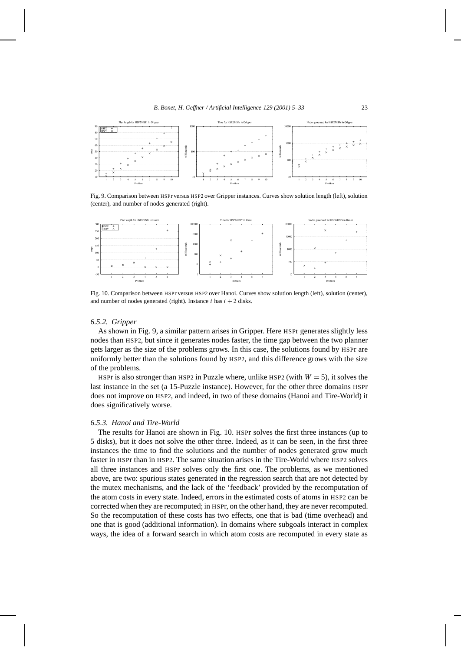

Fig. 9. Comparison between HSPr versus HSP2 over Gripper instances. Curves show solution length (left), solution (center), and number of nodes generated (right).



Fig. 10. Comparison between HSPr versus HSP2 over Hanoi. Curves show solution length (left), solution (center), and number of nodes generated (right). Instance  $i$  has  $i + 2$  disks.

#### *6.5.2. Gripper*

As shown in Fig. 9, a similar pattern arises in Gripper. Here HSPr generates slightly less nodes than HSP2, but since it generates nodes faster, the time gap between the two planner gets larger as the size of the problems grows. In this case, the solutions found by HSPr are uniformly better than the solutions found by HSP2, and this difference grows with the size of the problems.

HSPr is also stronger than HSP2 in Puzzle where, unlike HSP2 (with  $W = 5$ ), it solves the last instance in the set (a 15-Puzzle instance). However, for the other three domains HSPr does not improve on HSP2, and indeed, in two of these domains (Hanoi and Tire-World) it does significatively worse.

## *6.5.3. Hanoi and Tire-World*

The results for Hanoi are shown in Fig. 10. HSPr solves the first three instances (up to 5 disks), but it does not solve the other three. Indeed, as it can be seen, in the first three instances the time to find the solutions and the number of nodes generated grow much faster in HSPr than in HSP2. The same situation arises in the Tire-World where HSP2 solves all three instances and HSPr solves only the first one. The problems, as we mentioned above, are two: spurious states generated in the regression search that are not detected by the mutex mechanisms, and the lack of the 'feedback' provided by the recomputation of the atom costs in every state. Indeed, errors in the estimated costs of atoms in HSP2 can be corrected when they are recomputed; in HSPr, on the other hand, they are never recomputed. So the recomputation of these costs has two effects, one that is bad (time overhead) and one that is good (additional information). In domains where subgoals interact in complex ways, the idea of a forward search in which atom costs are recomputed in every state as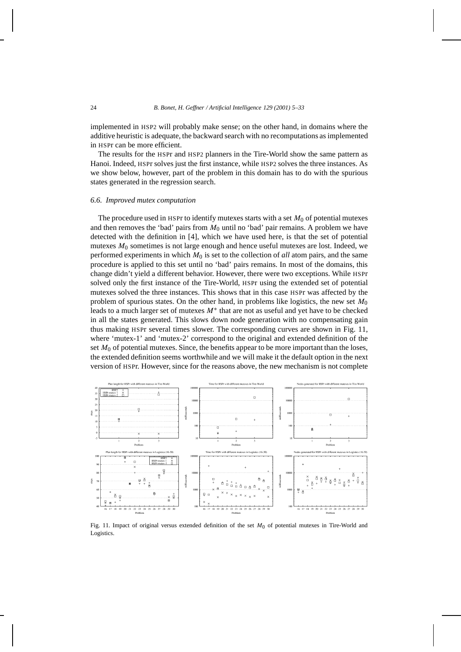implemented in HSP2 will probably make sense; on the other hand, in domains where the additive heuristic is adequate, the backward search with no recomputations as implemented in HSPr can be more efficient.

The results for the HSPr and HSP2 planners in the Tire-World show the same pattern as Hanoi. Indeed, HSPr solves just the first instance, while HSP2 solves the three instances. As we show below, however, part of the problem in this domain has to do with the spurious states generated in the regression search.

## *6.6. Improved mutex computation*

The procedure used in HSPr to identify mutexes starts with a set  $M_0$  of potential mutexes and then removes the 'bad' pairs from  $M_0$  until no 'bad' pair remains. A problem we have detected with the definition in [4], which we have used here, is that the set of potential mutexes  $M_0$  sometimes is not large enough and hence useful mutexes are lost. Indeed, we performed experiments in which  $M_0$  is set to the collection of *all* atom pairs, and the same procedure is applied to this set until no 'bad' pairs remains. In most of the domains, this change didn't yield a different behavior. However, there were two exceptions. While HSPr solved only the first instance of the Tire-World, HSPr using the extended set of potential mutexes solved the three instances. This shows that in this case HSPr was affected by the problem of spurious states. On the other hand, in problems like logistics, the new set *M*<sup>0</sup> leads to a much larger set of mutexes *M*<sup>∗</sup> that are not as useful and yet have to be checked in all the states generated. This slows down node generation with no compensating gain thus making HSPr several times slower. The corresponding curves are shown in Fig. 11, where 'mutex-1' and 'mutex-2' correspond to the original and extended definition of the set  $M_0$  of potential mutexes. Since, the benefits appear to be more important than the loses, the extended definition seems worthwhile and we will make it the default option in the next version of HSPr. However, since for the reasons above, the new mechanism is not complete



Fig. 11. Impact of original versus extended definition of the set  $M_0$  of potential mutexes in Tire-World and Logistics.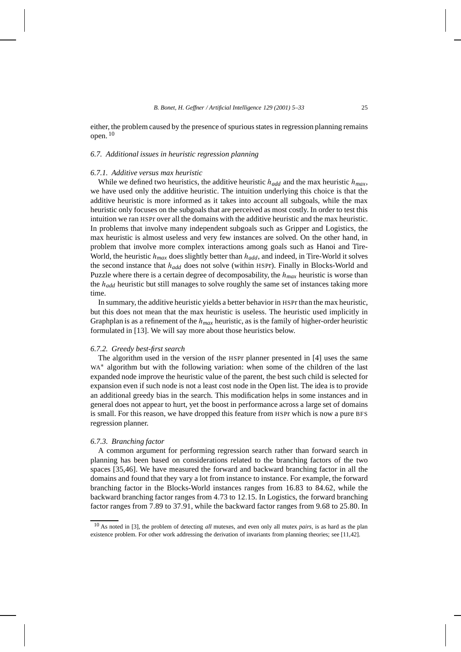either, the problem caused by the presence of spurious states in regression planning remains open.  $10$ 

## *6.7. Additional issues in heuristic regression planning*

# *6.7.1. Additive versus max heuristic*

While we defined two heuristics, the additive heuristic  $h_{add}$  and the max heuristic  $h_{max}$ , we have used only the additive heuristic. The intuition underlying this choice is that the additive heuristic is more informed as it takes into account all subgoals, while the max heuristic only focuses on the subgoals that are perceived as most costly. In order to test this intuition we ran HSPr over all the domains with the additive heuristic and the max heuristic. In problems that involve many independent subgoals such as Gripper and Logistics, the max heuristic is almost useless and very few instances are solved. On the other hand, in problem that involve more complex interactions among goals such as Hanoi and Tire-World, the heuristic *hmax* does slightly better than *hadd*, and indeed, in Tire-World it solves the second instance that *hadd* does not solve (within HSPr). Finally in Blocks-World and Puzzle where there is a certain degree of decomposability, the *hmax* heuristic is worse than the *hadd* heuristic but still manages to solve roughly the same set of instances taking more time.

In summary, the additive heuristic yields a better behavior in HSPr than the max heuristic, but this does not mean that the max heuristic is useless. The heuristic used implicitly in Graphplan is as a refinement of the *hmax* heuristic, as is the family of higher-order heuristic formulated in [13]. We will say more about those heuristics below.

#### *6.7.2. Greedy best-first search*

The algorithm used in the version of the HSPr planner presented in [4] uses the same WA<sup>\*</sup> algorithm but with the following variation: when some of the children of the last expanded node improve the heuristic value of the parent, the best such child is selected for expansion even if such node is not a least cost node in the Open list. The idea is to provide an additional greedy bias in the search. This modification helps in some instances and in general does not appear to hurt, yet the boost in performance across a large set of domains is small. For this reason, we have dropped this feature from HSPr which is now a pure BFS regression planner.

#### *6.7.3. Branching factor*

A common argument for performing regression search rather than forward search in planning has been based on considerations related to the branching factors of the two spaces [35,46]. We have measured the forward and backward branching factor in all the domains and found that they vary a lot from instance to instance. For example, the forward branching factor in the Blocks-World instances ranges from 16*.*83 to 84*.*62, while the backward branching factor ranges from 4*.*73 to 12*.*15. In Logistics, the forward branching factor ranges from 7*.*89 to 37*.*91, while the backward factor ranges from 9*.*68 to 25*.*80. In

<sup>10</sup> As noted in [3], the problem of detecting *all* mutexes, and even only all mutex *pairs,* is as hard as the plan existence problem. For other work addressing the derivation of invariants from planning theories; see [11,42].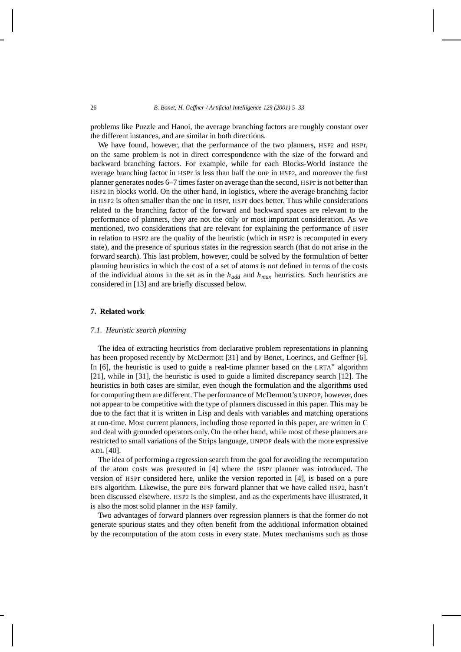problems like Puzzle and Hanoi, the average branching factors are roughly constant over the different instances, and are similar in both directions.

We have found, however, that the performance of the two planners, HSP2 and HSPr, on the same problem is not in direct correspondence with the size of the forward and backward branching factors. For example, while for each Blocks-World instance the average branching factor in HSPr is less than half the one in HSP2, and moreover the first planner generates nodes 6–7 times faster on average than the second, HSPr is not better than HSP2 in blocks world. On the other hand, in logistics, where the average branching factor in HSP2 is often smaller than the one in HSPr, HSPr does better. Thus while considerations related to the branching factor of the forward and backward spaces are relevant to the performance of planners, they are not the only or most important consideration. As we mentioned, two considerations that are relevant for explaining the performance of HSPr in relation to HSP2 are the quality of the heuristic (which in HSP2 is recomputed in every state), and the presence of spurious states in the regression search (that do not arise in the forward search). This last problem, however, could be solved by the formulation of better planning heuristics in which the cost of a set of atoms is *not* defined in terms of the costs of the individual atoms in the set as in the *hadd* and *hmax* heuristics. Such heuristics are considered in [13] and are briefly discussed below.

# **7. Related work**

#### *7.1. Heuristic search planning*

The idea of extracting heuristics from declarative problem representations in planning has been proposed recently by McDermott [31] and by Bonet, Loerincs, and Geffner [6]. In [6], the heuristic is used to guide a real-time planner based on the LRTA<sup>∗</sup> algorithm [21], while in [31], the heuristic is used to guide a limited discrepancy search [12]. The heuristics in both cases are similar, even though the formulation and the algorithms used for computing them are different. The performance of McDermott's UNPOP, however, does not appear to be competitive with the type of planners discussed in this paper. This may be due to the fact that it is written in Lisp and deals with variables and matching operations at run-time. Most current planners, including those reported in this paper, are written in C and deal with grounded operators only. On the other hand, while most of these planners are restricted to small variations of the Strips language, UNPOP deals with the more expressive ADL [40].

The idea of performing a regression search from the goal for avoiding the recomputation of the atom costs was presented in [4] where the HSPr planner was introduced. The version of HSPr considered here, unlike the version reported in [4], is based on a pure BFS algorithm. Likewise, the pure BFS forward planner that we have called HSP2, hasn't been discussed elsewhere. HSP2 is the simplest, and as the experiments have illustrated, it is also the most solid planner in the HSP family.

Two advantages of forward planners over regression planners is that the former do not generate spurious states and they often benefit from the additional information obtained by the recomputation of the atom costs in every state. Mutex mechanisms such as those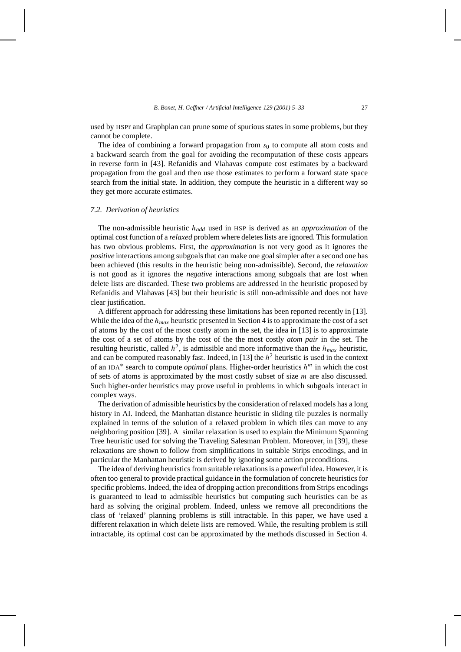used by HSPr and Graphplan can prune some of spurious states in some problems, but they cannot be complete.

The idea of combining a forward propagation from  $s<sub>0</sub>$  to compute all atom costs and a backward search from the goal for avoiding the recomputation of these costs appears in reverse form in [43]. Refanidis and Vlahavas compute cost estimates by a backward propagation from the goal and then use those estimates to perform a forward state space search from the initial state. In addition, they compute the heuristic in a different way so they get more accurate estimates.

#### *7.2. Derivation of heuristics*

The non-admissible heuristic *hadd* used in HSP is derived as an *approximation* of the optimal cost function of a *relaxed* problem where deletes lists are ignored. This formulation has two obvious problems. First, the *approximation* is not very good as it ignores the *positive* interactions among subgoals that can make one goal simpler after a second one has been achieved (this results in the heuristic being non-admissible). Second, the *relaxation* is not good as it ignores the *negative* interactions among subgoals that are lost when delete lists are discarded. These two problems are addressed in the heuristic proposed by Refanidis and Vlahavas [43] but their heuristic is still non-admissible and does not have clear justification.

A different approach for addressing these limitations has been reported recently in [13]. While the idea of the *hmax* heuristic presented in Section 4 is to approximate the cost of a set of atoms by the cost of the most costly atom in the set, the idea in [13] is to approximate the cost of a set of atoms by the cost of the the most costly *atom pair* in the set. The resulting heuristic, called  $h^2$ , is admissible and more informative than the  $h_{max}$  heuristic, and can be computed reasonably fast. Indeed, in [13] the  $h<sup>2</sup>$  heuristic is used in the context of an IDA<sup>∗</sup> search to compute *optimal* plans. Higher-order heuristics *hm* in which the cost of sets of atoms is approximated by the most costly subset of size *m* are also discussed. Such higher-order heuristics may prove useful in problems in which subgoals interact in complex ways.

The derivation of admissible heuristics by the consideration of relaxed models has a long history in AI. Indeed, the Manhattan distance heuristic in sliding tile puzzles is normally explained in terms of the solution of a relaxed problem in which tiles can move to any neighboring position [39]. A similar relaxation is used to explain the Minimum Spanning Tree heuristic used for solving the Traveling Salesman Problem. Moreover, in [39], these relaxations are shown to follow from simplifications in suitable Strips encodings, and in particular the Manhattan heuristic is derived by ignoring some action preconditions.

The idea of deriving heuristics from suitable relaxations is a powerful idea. However, it is often too general to provide practical guidance in the formulation of concrete heuristics for specific problems. Indeed, the idea of dropping action preconditions from Strips encodings is guaranteed to lead to admissible heuristics but computing such heuristics can be as hard as solving the original problem. Indeed, unless we remove all preconditions the class of 'relaxed' planning problems is still intractable. In this paper, we have used a different relaxation in which delete lists are removed. While, the resulting problem is still intractable, its optimal cost can be approximated by the methods discussed in Section 4.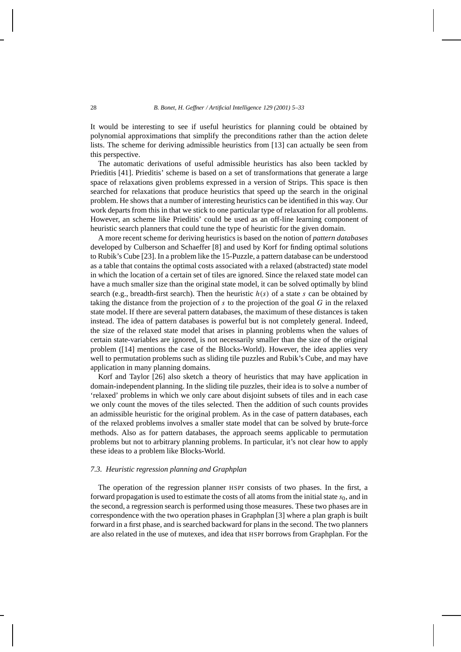It would be interesting to see if useful heuristics for planning could be obtained by polynomial approximations that simplify the preconditions rather than the action delete lists. The scheme for deriving admissible heuristics from [13] can actually be seen from this perspective.

The automatic derivations of useful admissible heuristics has also been tackled by Prieditis [41]. Prieditis' scheme is based on a set of transformations that generate a large space of relaxations given problems expressed in a version of Strips. This space is then searched for relaxations that produce heuristics that speed up the search in the original problem. He shows that a number of interesting heuristics can be identified in this way. Our work departs from this in that we stick to one particular type of relaxation for all problems. However, an scheme like Prieditis' could be used as an off-line learning component of heuristic search planners that could tune the type of heuristic for the given domain.

A more recent scheme for deriving heuristics is based on the notion of *pattern databases* developed by Culberson and Schaeffer [8] and used by Korf for finding optimal solutions to Rubik's Cube [23]. In a problem like the 15-Puzzle, a pattern database can be understood as a table that contains the optimal costs associated with a relaxed (abstracted) state model in which the location of a certain set of tiles are ignored. Since the relaxed state model can have a much smaller size than the original state model, it can be solved optimally by blind search (e.g., breadth-first search). Then the heuristic  $h(s)$  of a state *s* can be obtained by taking the distance from the projection of *s* to the projection of the goal *G* in the relaxed state model. If there are several pattern databases, the maximum of these distances is taken instead. The idea of pattern databases is powerful but is not completely general. Indeed, the size of the relaxed state model that arises in planning problems when the values of certain state-variables are ignored, is not necessarily smaller than the size of the original problem ([14] mentions the case of the Blocks-World). However, the idea applies very well to permutation problems such as sliding tile puzzles and Rubik's Cube, and may have application in many planning domains.

Korf and Taylor [26] also sketch a theory of heuristics that may have application in domain-independent planning. In the sliding tile puzzles, their idea is to solve a number of 'relaxed' problems in which we only care about disjoint subsets of tiles and in each case we only count the moves of the tiles selected. Then the addition of such counts provides an admissible heuristic for the original problem. As in the case of pattern databases, each of the relaxed problems involves a smaller state model that can be solved by brute-force methods. Also as for pattern databases, the approach seems applicable to permutation problems but not to arbitrary planning problems. In particular, it's not clear how to apply these ideas to a problem like Blocks-World.

# *7.3. Heuristic regression planning and Graphplan*

The operation of the regression planner HSPr consists of two phases. In the first, a forward propagation is used to estimate the costs of all atoms from the initial state  $s<sub>0</sub>$ , and in the second, a regression search is performed using those measures. These two phases are in correspondence with the two operation phases in Graphplan [3] where a plan graph is built forward in a first phase, and is searched backward for plans in the second. The two planners are also related in the use of mutexes, and idea that HSPr borrows from Graphplan. For the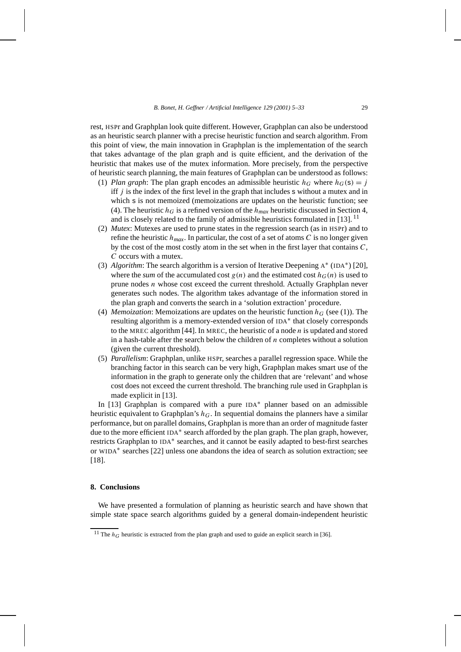rest, HSPr and Graphplan look quite different. However, Graphplan can also be understood as an heuristic search planner with a precise heuristic function and search algorithm. From this point of view, the main innovation in Graphplan is the implementation of the search that takes advantage of the plan graph and is quite efficient, and the derivation of the heuristic that makes use of the mutex information. More precisely, from the perspective of heuristic search planning, the main features of Graphplan can be understood as follows:

- (1) *Plan graph*: The plan graph encodes an admissible heuristic  $h_G$  where  $h_G(s) = j$ iff *j* is the index of the first level in the graph that includes s without a mutex and in which s is not memoized (memoizations are updates on the heuristic function; see (4). The heuristic  $h_G$  is a refined version of the  $h_{max}$  heuristic discussed in Section 4, and is closely related to the family of admissible heuristics formulated in [13].<sup>11</sup>
- (2) *Mutex*: Mutexes are used to prune states in the regression search (as in HSPr) and to refine the heuristic  $h_{max}$ . In particular, the cost of a set of atoms C is no longer given by the cost of the most costly atom in the set when in the first layer that contains *C*, *C* occurs with a mutex.
- (3) *Algorithm*: The search algorithm is a version of Iterative Deepening <sup>A</sup><sup>∗</sup> (IDA∗) [20], where the *sum* of the accumulated cost  $g(n)$  and the estimated cost  $h_G(n)$  is used to prune nodes *n* whose cost exceed the current threshold. Actually Graphplan never generates such nodes. The algorithm takes advantage of the information stored in the plan graph and converts the search in a 'solution extraction' procedure.
- (4) *Memoization*: Memoizations are updates on the heuristic function  $h_G$  (see (1)). The resulting algorithm is a memory-extended version of IDA<sup>∗</sup> that closely corresponds to the MREC algorithm [44]. In MREC, the heuristic of a node *n* is updated and stored in a hash-table after the search below the children of *n* completes without a solution (given the current threshold).
- (5) *Parallelism*: Graphplan, unlike HSPr, searches a parallel regression space. While the branching factor in this search can be very high, Graphplan makes smart use of the information in the graph to generate only the children that are 'relevant' and whose cost does not exceed the current threshold. The branching rule used in Graphplan is made explicit in [13].

In [13] Graphplan is compared with a pure IDA<sup>∗</sup> planner based on an admissible heuristic equivalent to Graphplan's *hG*. In sequential domains the planners have a similar performance, but on parallel domains, Graphplan is more than an order of magnitude faster due to the more efficient IDA<sup>∗</sup> search afforded by the plan graph. The plan graph, however, restricts Graphplan to IDA<sup>∗</sup> searches, and it cannot be easily adapted to best-first searches or WIDA<sup>∗</sup> searches [22] unless one abandons the idea of search as solution extraction; see [18].

# **8. Conclusions**

We have presented a formulation of planning as heuristic search and have shown that simple state space search algorithms guided by a general domain-independent heuristic

<sup>&</sup>lt;sup>11</sup> The  $h_G$  heuristic is extracted from the plan graph and used to guide an explicit search in [36].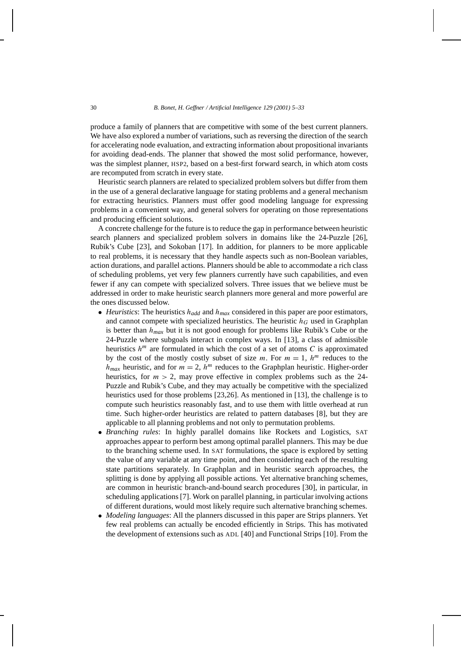produce a family of planners that are competitive with some of the best current planners. We have also explored a number of variations, such as reversing the direction of the search for accelerating node evaluation, and extracting information about propositional invariants for avoiding dead-ends. The planner that showed the most solid performance, however, was the simplest planner, HSP2, based on a best-first forward search, in which atom costs are recomputed from scratch in every state.

Heuristic search planners are related to specialized problem solvers but differ from them in the use of a general declarative language for stating problems and a general mechanism for extracting heuristics. Planners must offer good modeling language for expressing problems in a convenient way, and general solvers for operating on those representations and producing efficient solutions.

A concrete challenge for the future is to reduce the gap in performance between heuristic search planners and specialized problem solvers in domains like the 24-Puzzle [26], Rubik's Cube [23], and Sokoban [17]. In addition, for planners to be more applicable to real problems, it is necessary that they handle aspects such as non-Boolean variables, action durations, and parallel actions. Planners should be able to accommodate a rich class of scheduling problems, yet very few planners currently have such capabilities, and even fewer if any can compete with specialized solvers. Three issues that we believe must be addressed in order to make heuristic search planners more general and more powerful are the ones discussed below.

- *Heuristics*: The heuristics *hadd* and *hmax* considered in this paper are poor estimators, and cannot compete with specialized heuristics. The heuristic  $h<sub>G</sub>$  used in Graphplan is better than *hmax* but it is not good enough for problems like Rubik's Cube or the 24-Puzzle where subgoals interact in complex ways. In [13], a class of admissible heuristics  $h^m$  are formulated in which the cost of a set of atoms  $C$  is approximated by the cost of the mostly costly subset of size  $m$ . For  $m = 1$ ,  $h^m$  reduces to the  $h_{max}$  heuristic, and for  $m = 2$ ,  $h^m$  reduces to the Graphplan heuristic. Higher-order heuristics, for  $m > 2$ , may prove effective in complex problems such as the 24-Puzzle and Rubik's Cube, and they may actually be competitive with the specialized heuristics used for those problems [23,26]. As mentioned in [13], the challenge is to compute such heuristics reasonably fast, and to use them with little overhead at run time. Such higher-order heuristics are related to pattern databases [8], but they are applicable to all planning problems and not only to permutation problems.
- *Branching rules*: In highly parallel domains like Rockets and Logistics, SAT approaches appear to perform best among optimal parallel planners. This may be due to the branching scheme used. In SAT formulations, the space is explored by setting the value of any variable at any time point, and then considering each of the resulting state partitions separately. In Graphplan and in heuristic search approaches, the splitting is done by applying all possible actions. Yet alternative branching schemes, are common in heuristic branch-and-bound search procedures [30], in particular, in scheduling applications [7]. Work on parallel planning, in particular involving actions of different durations, would most likely require such alternative branching schemes.
- *Modeling languages*: All the planners discussed in this paper are Strips planners. Yet few real problems can actually be encoded efficiently in Strips. This has motivated the development of extensions such as ADL [40] and Functional Strips [10]. From the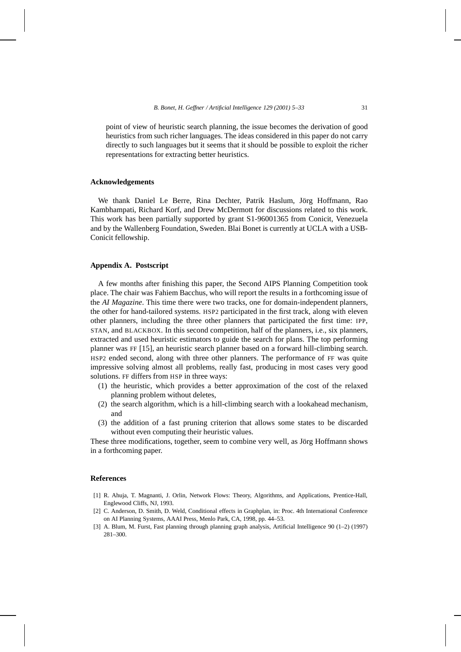point of view of heuristic search planning, the issue becomes the derivation of good heuristics from such richer languages. The ideas considered in this paper do not carry directly to such languages but it seems that it should be possible to exploit the richer representations for extracting better heuristics.

#### **Acknowledgements**

We thank Daniel Le Berre, Rina Dechter, Patrik Haslum, Jörg Hoffmann, Rao Kambhampati, Richard Korf, and Drew McDermott for discussions related to this work. This work has been partially supported by grant S1-96001365 from Conicit, Venezuela and by the Wallenberg Foundation, Sweden. Blai Bonet is currently at UCLA with a USB-Conicit fellowship.

## **Appendix A. Postscript**

A few months after finishing this paper, the Second AIPS Planning Competition took place. The chair was Fahiem Bacchus, who will report the results in a forthcoming issue of the *AI Magazine*. This time there were two tracks, one for domain-independent planners, the other for hand-tailored systems. HSP2 participated in the first track, along with eleven other planners, including the three other planners that participated the first time: IPP, STAN, and BLACKBOX. In this second competition, half of the planners, i.e., six planners, extracted and used heuristic estimators to guide the search for plans. The top performing planner was FF [15], an heuristic search planner based on a forward hill-climbing search. HSP2 ended second, along with three other planners. The performance of FF was quite impressive solving almost all problems, really fast, producing in most cases very good solutions. FF differs from HSP in three ways:

- (1) the heuristic, which provides a better approximation of the cost of the relaxed planning problem without deletes,
- (2) the search algorithm, which is a hill-climbing search with a lookahead mechanism, and
- (3) the addition of a fast pruning criterion that allows some states to be discarded without even computing their heuristic values.

These three modifications, together, seem to combine very well, as Jörg Hoffmann shows in a forthcoming paper.

#### **References**

- [1] R. Ahuja, T. Magnanti, J. Orlin, Network Flows: Theory, Algorithms, and Applications, Prentice-Hall, Englewood Cliffs, NJ, 1993.
- [2] C. Anderson, D. Smith, D. Weld, Conditional effects in Graphplan, in: Proc. 4th International Conference on AI Planning Systems, AAAI Press, Menlo Park, CA, 1998, pp. 44–53.
- [3] A. Blum, M. Furst, Fast planning through planning graph analysis, Artificial Intelligence 90 (1–2) (1997) 281–300.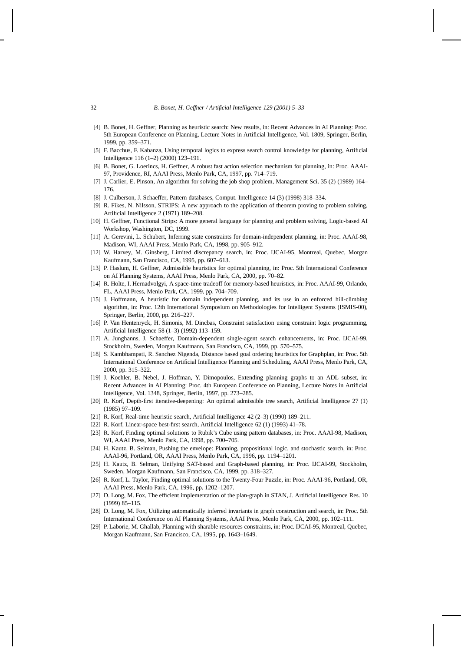- [4] B. Bonet, H. Geffner, Planning as heuristic search: New results, in: Recent Advances in AI Planning: Proc. 5th European Conference on Planning, Lecture Notes in Artificial Intelligence, Vol. 1809, Springer, Berlin, 1999, pp. 359–371.
- [5] F. Bacchus, F. Kabanza, Using temporal logics to express search control knowledge for planning, Artificial Intelligence 116 (1–2) (2000) 123–191.
- [6] B. Bonet, G. Loerincs, H. Geffner, A robust fast action selection mechanism for planning, in: Proc. AAAI-97, Providence, RI, AAAI Press, Menlo Park, CA, 1997, pp. 714–719.
- [7] J. Carlier, E. Pinson, An algorithm for solving the job shop problem, Management Sci. 35 (2) (1989) 164– 176.
- [8] J. Culberson, J. Schaeffer, Pattern databases, Comput. Intelligence 14 (3) (1998) 318–334.
- [9] R. Fikes, N. Nilsson, STRIPS: A new approach to the application of theorem proving to problem solving, Artificial Intelligence 2 (1971) 189–208.
- [10] H. Geffner, Functional Strips: A more general language for planning and problem solving, Logic-based AI Workshop, Washington, DC, 1999.
- [11] A. Gerevini, L. Schubert, Inferring state constraints for domain-independent planning, in: Proc. AAAI-98, Madison, WI, AAAI Press, Menlo Park, CA, 1998, pp. 905–912.
- [12] W. Harvey, M. Ginsberg, Limited discrepancy search, in: Proc. IJCAI-95, Montreal, Quebec, Morgan Kaufmann, San Francisco, CA, 1995, pp. 607–613.
- [13] P. Haslum, H. Geffner, Admissible heuristics for optimal planning, in: Proc. 5th International Conference on AI Planning Systems, AAAI Press, Menlo Park, CA, 2000, pp. 70–82.
- [14] R. Holte, I. Hernadvolgyi, A space-time tradeoff for memory-based heuristics, in: Proc. AAAI-99, Orlando, FL, AAAI Press, Menlo Park, CA, 1999, pp. 704–709.
- [15] J. Hoffmann, A heuristic for domain independent planning, and its use in an enforced hill-climbing algorithm, in: Proc. 12th International Symposium on Methodologies for Intelligent Systems (ISMIS-00), Springer, Berlin, 2000, pp. 216–227.
- [16] P. Van Hentenryck, H. Simonis, M. Dincbas, Constraint satisfaction using constraint logic programming, Artificial Intelligence 58 (1–3) (1992) 113–159.
- [17] A. Junghanns, J. Schaeffer, Domain-dependent single-agent search enhancements, in: Proc. IJCAI-99, Stockholm, Sweden, Morgan Kaufmann, San Francisco, CA, 1999, pp. 570–575.
- [18] S. Kambhampati, R. Sanchez Nigenda, Distance based goal ordering heuristics for Graphplan, in: Proc. 5th International Conference on Artificial Intelligence Planning and Scheduling, AAAI Press, Menlo Park, CA, 2000, pp. 315–322.
- [19] J. Koehler, B. Nebel, J. Hoffman, Y. Dimopoulos, Extending planning graphs to an ADL subset, in: Recent Advances in AI Planning: Proc. 4th European Conference on Planning, Lecture Notes in Artificial Intelligence, Vol. 1348, Springer, Berlin, 1997, pp. 273–285.
- [20] R. Korf, Depth-first iterative-deepening: An optimal admissible tree search, Artificial Intelligence 27 (1) (1985) 97–109.
- [21] R. Korf, Real-time heuristic search, Artificial Intelligence 42 (2–3) (1990) 189–211.
- [22] R. Korf, Linear-space best-first search, Artificial Intelligence 62 (1) (1993) 41–78.
- [23] R. Korf, Finding optimal solutions to Rubik's Cube using pattern databases, in: Proc. AAAI-98, Madison, WI, AAAI Press, Menlo Park, CA, 1998, pp. 700–705.
- [24] H. Kautz, B. Selman, Pushing the envelope: Planning, propositional logic, and stochastic search, in: Proc. AAAI-96, Portland, OR, AAAI Press, Menlo Park, CA, 1996, pp. 1194–1201.
- [25] H. Kautz, B. Selman, Unifying SAT-based and Graph-based planning, in: Proc. IJCAI-99, Stockholm, Sweden, Morgan Kaufmann, San Francisco, CA, 1999, pp. 318–327.
- [26] R. Korf, L. Taylor, Finding optimal solutions to the Twenty-Four Puzzle, in: Proc. AAAI-96, Portland, OR, AAAI Press, Menlo Park, CA, 1996, pp. 1202–1207.
- [27] D. Long, M. Fox, The efficient implementation of the plan-graph in STAN, J. Artificial Intelligence Res. 10 (1999) 85–115.
- [28] D. Long, M. Fox, Utilizing automatically inferred invariants in graph construction and search, in: Proc. 5th International Conference on AI Planning Systems, AAAI Press, Menlo Park, CA, 2000, pp. 102–111.
- [29] P. Laborie, M. Ghallab, Planning with sharable resources constraints, in: Proc. IJCAI-95, Montreal, Quebec, Morgan Kaufmann, San Francisco, CA, 1995, pp. 1643–1649.